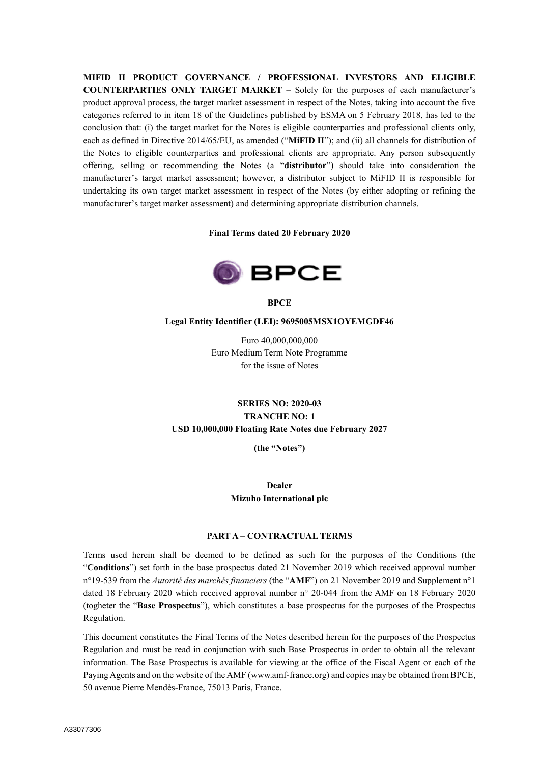**MIFID II PRODUCT GOVERNANCE / PROFESSIONAL INVESTORS AND ELIGIBLE COUNTERPARTIES ONLY TARGET MARKET** – Solely for the purposes of each manufacturer's product approval process, the target market assessment in respect of the Notes, taking into account the five categories referred to in item 18 of the Guidelines published by ESMA on 5 February 2018, has led to the conclusion that: (i) the target market for the Notes is eligible counterparties and professional clients only, each as defined in Directive 2014/65/EU, as amended ("**MiFID II**"); and (ii) all channels for distribution of the Notes to eligible counterparties and professional clients are appropriate. Any person subsequently offering, selling or recommending the Notes (a "**distributor**") should take into consideration the manufacturer's target market assessment; however, a distributor subject to MiFID II is responsible for undertaking its own target market assessment in respect of the Notes (by either adopting or refining the manufacturer's target market assessment) and determining appropriate distribution channels.

#### **Final Terms dated 20 February 2020**



**BPCE**

#### **Legal Entity Identifier (LEI): 9695005MSX1OYEMGDF46**

Euro 40,000,000,000 Euro Medium Term Note Programme for the issue of Notes

## **SERIES NO: 2020-03 TRANCHE NO: 1 USD 10,000,000 Floating Rate Notes due February 2027**

**(the "Notes")**

### **Dealer Mizuho International plc**

#### **PART A – CONTRACTUAL TERMS**

Terms used herein shall be deemed to be defined as such for the purposes of the Conditions (the "**Conditions**") set forth in the base prospectus dated 21 November 2019 which received approval number n°19-539 from the *Autorité des marchés financiers* (the "**AMF**") on 21 November 2019 and Supplement n°1 dated 18 February 2020 which received approval number n° 20-044 from the AMF on 18 February 2020 (togheter the "**Base Prospectus**"), which constitutes a base prospectus for the purposes of the Prospectus Regulation.

This document constitutes the Final Terms of the Notes described herein for the purposes of the Prospectus Regulation and must be read in conjunction with such Base Prospectus in order to obtain all the relevant information. The Base Prospectus is available for viewing at the office of the Fiscal Agent or each of the Paying Agents and on the website of the AMF (www.amf-france.org) and copies may be obtained from BPCE, 50 avenue Pierre Mendès-France, 75013 Paris, France.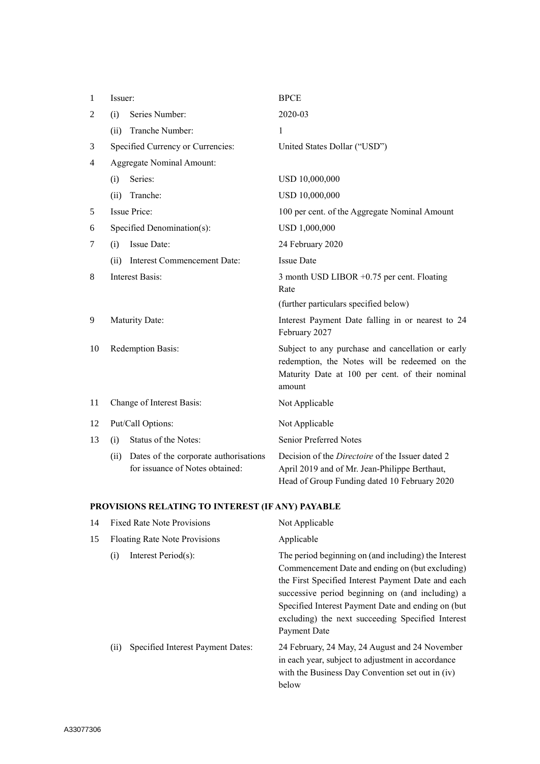| 1              | Issuer:                          |                                                                          | <b>BPCE</b>                                                                                                                                                     |  |
|----------------|----------------------------------|--------------------------------------------------------------------------|-----------------------------------------------------------------------------------------------------------------------------------------------------------------|--|
| $\overline{2}$ | (i)                              | Series Number:                                                           | 2020-03                                                                                                                                                         |  |
|                | (ii)                             | Tranche Number:                                                          | 1                                                                                                                                                               |  |
| 3              |                                  | Specified Currency or Currencies:                                        | United States Dollar ("USD")                                                                                                                                    |  |
| 4              | <b>Aggregate Nominal Amount:</b> |                                                                          |                                                                                                                                                                 |  |
|                | (i)                              | Series:                                                                  | USD 10,000,000                                                                                                                                                  |  |
|                | (ii)                             | Tranche:                                                                 | USD 10,000,000                                                                                                                                                  |  |
| 5              | <b>Issue Price:</b>              |                                                                          | 100 per cent. of the Aggregate Nominal Amount                                                                                                                   |  |
| 6              | Specified Denomination(s):       |                                                                          | USD 1,000,000                                                                                                                                                   |  |
| 7              | (i)                              | <b>Issue Date:</b>                                                       | 24 February 2020                                                                                                                                                |  |
|                | (ii)                             | Interest Commencement Date:                                              | <b>Issue Date</b>                                                                                                                                               |  |
| 8              | <b>Interest Basis:</b>           |                                                                          | 3 month USD LIBOR +0.75 per cent. Floating<br>Rate                                                                                                              |  |
|                |                                  |                                                                          | (further particulars specified below)                                                                                                                           |  |
| 9              |                                  | Maturity Date:                                                           | Interest Payment Date falling in or nearest to 24<br>February 2027                                                                                              |  |
| 10             | Redemption Basis:                |                                                                          | Subject to any purchase and cancellation or early<br>redemption, the Notes will be redeemed on the<br>Maturity Date at 100 per cent. of their nominal<br>amount |  |
| 11             | Change of Interest Basis:        |                                                                          | Not Applicable                                                                                                                                                  |  |
| 12             | Put/Call Options:                |                                                                          | Not Applicable                                                                                                                                                  |  |
| 13             | (i)                              | Status of the Notes:                                                     | <b>Senior Preferred Notes</b>                                                                                                                                   |  |
|                | (ii)                             | Dates of the corporate authorisations<br>for issuance of Notes obtained: | Decision of the <i>Directoire</i> of the Issuer dated 2<br>April 2019 and of Mr. Jean-Philippe Berthaut,<br>Head of Group Funding dated 10 February 2020        |  |

# **PROVISIONS RELATING TO INTEREST (IF ANY) PAYABLE**

| 14 | <b>Fixed Rate Note Provisions</b>        | Not Applicable                                                                                                                                                                                                                                                                                                                               |
|----|------------------------------------------|----------------------------------------------------------------------------------------------------------------------------------------------------------------------------------------------------------------------------------------------------------------------------------------------------------------------------------------------|
| 15 | <b>Floating Rate Note Provisions</b>     | Applicable                                                                                                                                                                                                                                                                                                                                   |
|    | Interest Period(s):<br>(i)               | The period beginning on (and including) the Interest<br>Commencement Date and ending on (but excluding)<br>the First Specified Interest Payment Date and each<br>successive period beginning on (and including) a<br>Specified Interest Payment Date and ending on (but<br>excluding) the next succeeding Specified Interest<br>Payment Date |
|    | Specified Interest Payment Dates:<br>(i) | 24 February, 24 May, 24 August and 24 November<br>in each year, subject to adjustment in accordance<br>with the Business Day Convention set out in (iv)<br>below                                                                                                                                                                             |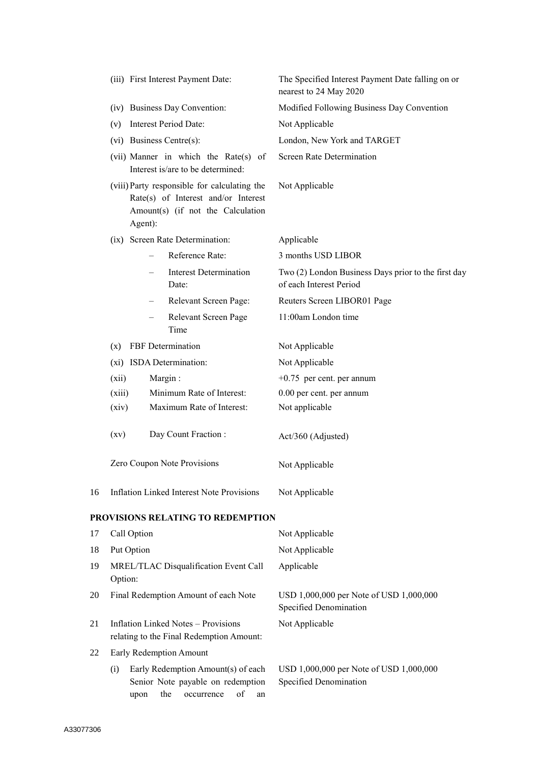|    | (iii) First Interest Payment Date:                                                                                                  | The Specified Interest Payment Date falling on or<br>nearest to 24 May 2020    |  |
|----|-------------------------------------------------------------------------------------------------------------------------------------|--------------------------------------------------------------------------------|--|
|    | (iv) Business Day Convention:                                                                                                       | Modified Following Business Day Convention                                     |  |
|    | (v) Interest Period Date:                                                                                                           | Not Applicable                                                                 |  |
|    | (vi) Business Centre(s):                                                                                                            | London, New York and TARGET                                                    |  |
|    | (vii) Manner in which the Rate(s) of<br>Interest is/are to be determined:                                                           | <b>Screen Rate Determination</b>                                               |  |
|    | (viii) Party responsible for calculating the<br>Rate(s) of Interest and/or Interest<br>Amount(s) (if not the Calculation<br>Agent): | Not Applicable                                                                 |  |
|    | (ix) Screen Rate Determination:                                                                                                     | Applicable                                                                     |  |
|    | Reference Rate:                                                                                                                     | 3 months USD LIBOR                                                             |  |
|    | <b>Interest Determination</b><br>Date:                                                                                              | Two (2) London Business Days prior to the first day<br>of each Interest Period |  |
|    | Relevant Screen Page:                                                                                                               | Reuters Screen LIBOR01 Page                                                    |  |
|    | Relevant Screen Page<br>Time                                                                                                        | 11:00am London time                                                            |  |
|    | FBF Determination<br>(X)                                                                                                            | Not Applicable                                                                 |  |
|    | (xi) ISDA Determination:                                                                                                            | Not Applicable                                                                 |  |
|    | Margin:<br>(xii)                                                                                                                    | $+0.75$ per cent. per annum                                                    |  |
|    | Minimum Rate of Interest:<br>(xiii)                                                                                                 | 0.00 per cent. per annum                                                       |  |
|    | Maximum Rate of Interest:<br>(xiv)                                                                                                  | Not applicable                                                                 |  |
|    | Day Count Fraction:<br>(xv)                                                                                                         | Act/360 (Adjusted)                                                             |  |
|    | Zero Coupon Note Provisions                                                                                                         | Not Applicable                                                                 |  |
| 16 | Inflation Linked Interest Note Provisions                                                                                           | Not Applicable                                                                 |  |
|    | PROVISIONS RELATING TO REDEMPTION                                                                                                   |                                                                                |  |
| 17 | Call Option                                                                                                                         | Not Applicable                                                                 |  |
| 18 | Put Option                                                                                                                          | Not Applicable                                                                 |  |
| 19 | MREL/TLAC Disqualification Event Call<br>Option:                                                                                    | Applicable                                                                     |  |
| 20 | Final Redemption Amount of each Note                                                                                                | USD 1,000,000 per Note of USD 1,000,000<br>Specified Denomination              |  |
| 21 | <b>Inflation Linked Notes - Provisions</b><br>relating to the Final Redemption Amount:                                              | Not Applicable                                                                 |  |
| 22 | Early Redemption Amount                                                                                                             |                                                                                |  |
|    | Early Redemption Amount(s) of each<br>(i)<br>Senior Note payable on redemption<br>the<br>of<br>occurrence<br>upon<br>an             | USD 1,000,000 per Note of USD 1,000,000<br>Specified Denomination              |  |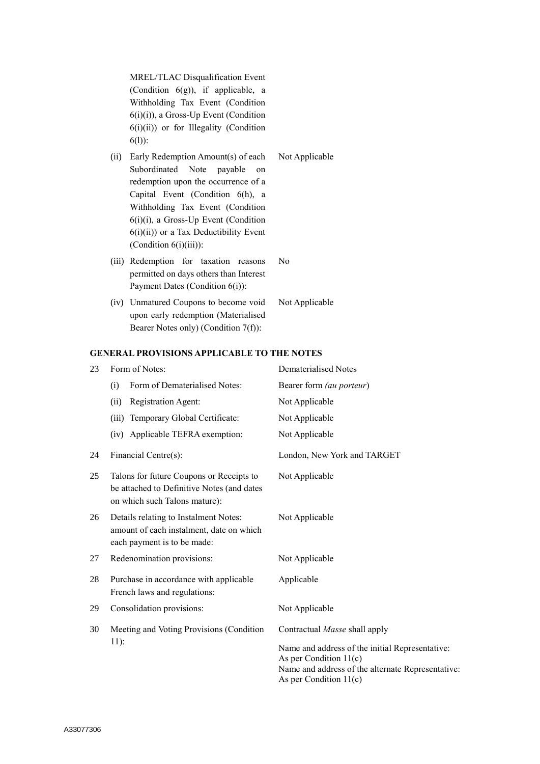MREL/TLAC Disqualification Event (Condition 6(g)), if applicable, a Withholding Tax Event (Condition 6(i)(i)), a Gross-Up Event (Condition 6(i)(ii)) or for Illegality (Condition 6(l)):

- (ii) Early Redemption Amount(s) of each Subordinated Note payable on redemption upon the occurrence of a Capital Event (Condition 6(h), a Withholding Tax Event (Condition 6(i)(i), a Gross-Up Event (Condition  $6(i)(ii)$ ) or a Tax Deductibility Event (Condition 6(i)(iii)):
- (iii) Redemption for taxation reasons permitted on days others than Interest Payment Dates (Condition 6(i)):
- (iv) Unmatured Coupons to become void upon early redemption (Materialised Bearer Notes only) (Condition 7(f)): Not Applicable

#### **GENERAL PROVISIONS APPLICABLE TO THE NOTES**

| 23 | Form of Notes:                                                                                                          | Dematerialised Notes                              |  |
|----|-------------------------------------------------------------------------------------------------------------------------|---------------------------------------------------|--|
|    | Form of Dematerialised Notes:<br>(i)                                                                                    | Bearer form (au porteur)                          |  |
|    | Registration Agent:<br>(ii)                                                                                             | Not Applicable                                    |  |
|    | Temporary Global Certificate:<br>(iii)                                                                                  | Not Applicable                                    |  |
|    | Applicable TEFRA exemption:<br>(iv)                                                                                     | Not Applicable                                    |  |
| 24 | Financial Centre(s):                                                                                                    | London, New York and TARGET                       |  |
| 25 | Talons for future Coupons or Receipts to<br>be attached to Definitive Notes (and dates<br>on which such Talons mature): | Not Applicable                                    |  |
| 26 | Details relating to Instalment Notes:<br>amount of each instalment, date on which<br>each payment is to be made:        | Not Applicable                                    |  |
| 27 | Redenomination provisions:                                                                                              | Not Applicable                                    |  |
| 28 | Purchase in accordance with applicable<br>French laws and regulations:                                                  | Applicable                                        |  |
| 29 | Consolidation provisions:                                                                                               | Not Applicable                                    |  |
| 30 | Meeting and Voting Provisions (Condition                                                                                | Contractual Masse shall apply                     |  |
|    | $11)$ :                                                                                                                 | Name and address of the initial Representative:   |  |
|    |                                                                                                                         | As per Condition $11(c)$                          |  |
|    |                                                                                                                         | Name and address of the alternate Representative: |  |
|    |                                                                                                                         | As per Condition $11(c)$                          |  |

Not Applicable

No

A33077306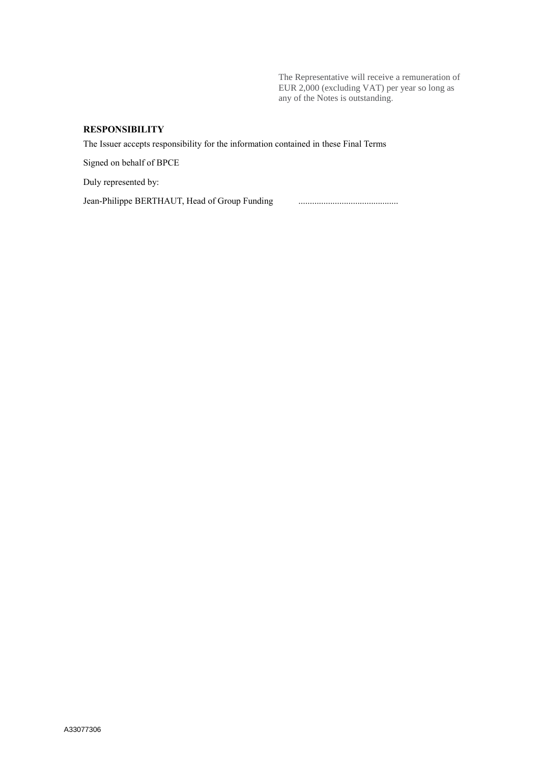The Representative will receive a remuneration of EUR 2,000 (excluding VAT) per year so long as any of the Notes is outstanding.

## **RESPONSIBILITY**

The Issuer accepts responsibility for the information contained in these Final Terms

Signed on behalf of BPCE

Duly represented by:

Jean-Philippe BERTHAUT, Head of Group Funding ............................................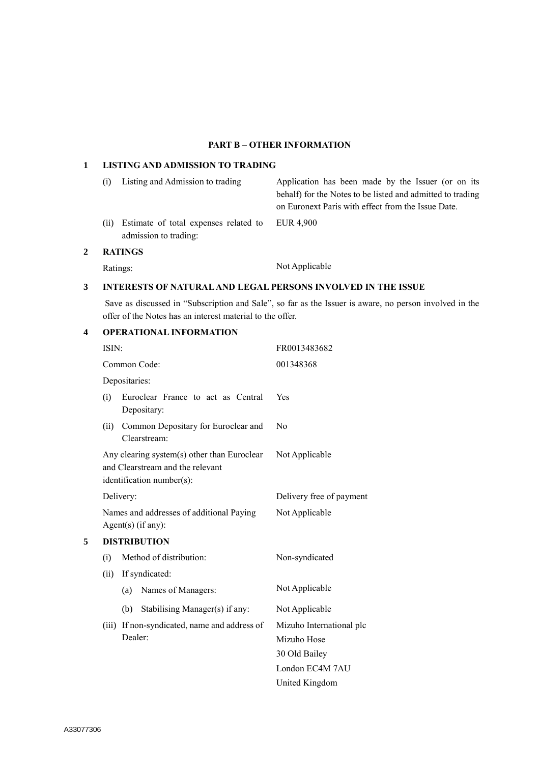## **PART B – OTHER INFORMATION**

## **1 LISTING AND ADMISSION TO TRADING**

|   | (i)            | Listing and Admission to trading                               | Application has been made by the Issuer (or on its<br>behalf) for the Notes to be listed and admitted to trading<br>on Euronext Paris with effect from the Issue Date. |
|---|----------------|----------------------------------------------------------------|------------------------------------------------------------------------------------------------------------------------------------------------------------------------|
|   | (i)            | Estimate of total expenses related to<br>admission to trading: | EUR 4.900                                                                                                                                                              |
| 2 | <b>RATINGS</b> |                                                                |                                                                                                                                                                        |
|   |                | Ratings:                                                       | Not Applicable                                                                                                                                                         |

## **3 INTERESTS OF NATURAL AND LEGAL PERSONS INVOLVED IN THE ISSUE**

Save as discussed in "Subscription and Sale", so far as the Issuer is aware, no person involved in the offer of the Notes has an interest material to the offer.

## **4 OPERATIONAL INFORMATION**

|   | ISIN: |                                                                                                              | FR0013483682             |
|---|-------|--------------------------------------------------------------------------------------------------------------|--------------------------|
|   |       | Common Code:                                                                                                 | 001348368                |
|   |       | Depositaries:                                                                                                |                          |
|   | (i)   | Euroclear France to act as Central<br>Depositary:                                                            | Yes                      |
|   | (ii)  | Common Depositary for Euroclear and<br>Clearstream:                                                          | N <sub>0</sub>           |
|   |       | Any clearing system(s) other than Euroclear<br>and Clearstream and the relevant<br>identification number(s): | Not Applicable           |
|   |       | Delivery:                                                                                                    | Delivery free of payment |
|   |       | Names and addresses of additional Paying<br>$Agent(s)$ (if any):                                             | Not Applicable           |
| 5 |       | <b>DISTRIBUTION</b>                                                                                          |                          |
|   | (i)   | Method of distribution:                                                                                      | Non-syndicated           |
|   | (ii)  | If syndicated:                                                                                               |                          |
|   |       | Names of Managers:<br>(a)                                                                                    | Not Applicable           |
|   |       | Stabilising Manager(s) if any:<br>(b)                                                                        | Not Applicable           |
|   | (iii) | If non-syndicated, name and address of                                                                       | Mizuho International plc |
|   |       | Dealer:                                                                                                      | Mizuho Hose              |
|   |       |                                                                                                              | 30 Old Bailey            |
|   |       |                                                                                                              | London EC4M 7AU          |
|   |       |                                                                                                              | United Kingdom           |